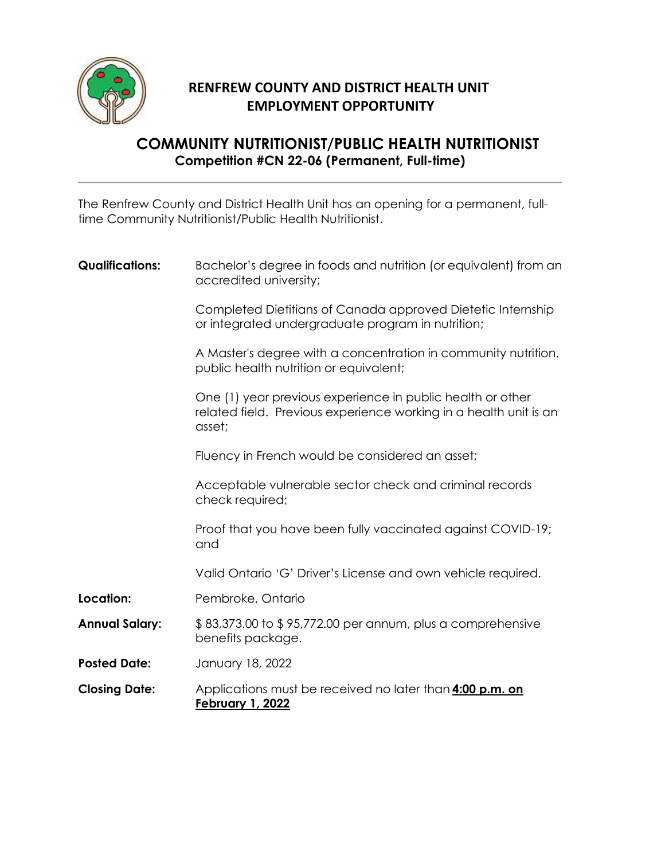

## **RENFREW COUNTY AND DISTRICT HEALTH UNIT EMPLOYMENT OPPORTUNITY**

## **COMMUNITY NUTRITIONIST/PUBLIC HEALTH NUTRITIONIST Competition #CN 22-06 (Permanent, Full-time)**

The Renfrew County and District Health Unit has an opening for a permanent, fulltime Community Nutritionist/Public Health Nutritionist.

| <b>Qualifications:</b> | Bachelor's degree in foods and nutrition (or equivalent) from an<br>accredited university;                                                |
|------------------------|-------------------------------------------------------------------------------------------------------------------------------------------|
|                        | Completed Dietitians of Canada approved Dietetic Internship<br>or integrated undergraduate program in nutrition;                          |
|                        | A Master's degree with a concentration in community nutrition,<br>public health nutrition or equivalent;                                  |
|                        | One (1) year previous experience in public health or other<br>related field. Previous experience working in a health unit is an<br>asset; |
|                        | Fluency in French would be considered an asset;                                                                                           |
|                        | Acceptable vulnerable sector check and criminal records<br>check required;                                                                |
|                        | Proof that you have been fully vaccinated against COVID-19;<br>and                                                                        |
|                        | Valid Ontario 'G' Driver's License and own vehicle required.                                                                              |
| Location:              | Pembroke, Ontario                                                                                                                         |
| <b>Annual Salary:</b>  | \$83,373.00 to \$95,772.00 per annum, plus a comprehensive<br>benefits package.                                                           |
| <b>Posted Date:</b>    | January 18, 2022                                                                                                                          |
| <b>Closing Date:</b>   | Applications must be received no later than <b>4:00 p.m. on</b><br><b>February 1, 2022</b>                                                |